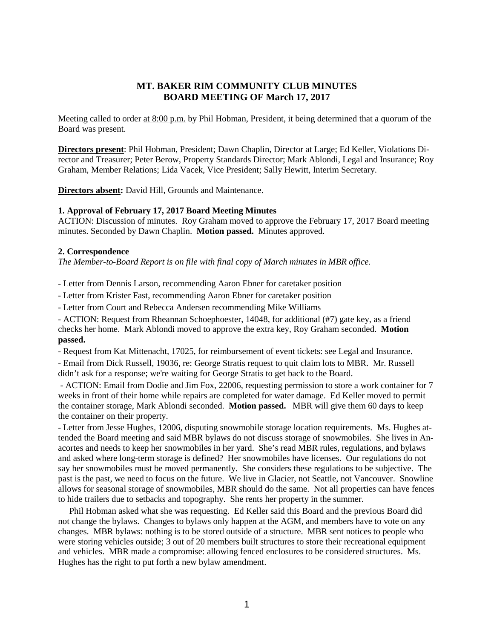# **MT. BAKER RIM COMMUNITY CLUB MINUTES BOARD MEETING OF March 17, 2017**

Meeting called to order at 8:00 p.m. by Phil Hobman, President, it being determined that a quorum of the Board was present.

**Directors present**: Phil Hobman, President; Dawn Chaplin, Director at Large; Ed Keller, Violations Director and Treasurer; Peter Berow, Property Standards Director; Mark Ablondi, Legal and Insurance; Roy Graham, Member Relations; Lida Vacek, Vice President; Sally Hewitt, Interim Secretary.

**Directors absent:** David Hill, Grounds and Maintenance.

#### **1. Approval of February 17, 2017 Board Meeting Minutes**

ACTION: Discussion of minutes. Roy Graham moved to approve the February 17, 2017 Board meeting minutes. Seconded by Dawn Chaplin. **Motion passed.** Minutes approved.

#### **2. Correspondence**

*The Member-to-Board Report is on file with final copy of March minutes in MBR office.*

*-* Letter from Dennis Larson, recommending Aaron Ebner for caretaker position

- Letter from Krister Fast, recommending Aaron Ebner for caretaker position

- Letter from Court and Rebecca Andersen recommending Mike Williams

- ACTION: Request from Rheannan Schoephoester, 14048, for additional (#7) gate key, as a friend checks her home. Mark Ablondi moved to approve the extra key, Roy Graham seconded. **Motion passed.**

- Request from Kat Mittenacht, 17025, for reimbursement of event tickets: see Legal and Insurance.

- Email from Dick Russell, 19036, re: George Stratis request to quit claim lots to MBR. Mr. Russell didn't ask for a response; we're waiting for George Stratis to get back to the Board.

- ACTION: Email from Dodie and Jim Fox, 22006, requesting permission to store a work container for 7 weeks in front of their home while repairs are completed for water damage. Ed Keller moved to permit the container storage, Mark Ablondi seconded. **Motion passed.** MBR will give them 60 days to keep the container on their property.

- Letter from Jesse Hughes, 12006, disputing snowmobile storage location requirements. Ms. Hughes attended the Board meeting and said MBR bylaws do not discuss storage of snowmobiles. She lives in Anacortes and needs to keep her snowmobiles in her yard. She's read MBR rules, regulations, and bylaws and asked where long-term storage is defined? Her snowmobiles have licenses. Our regulations do not say her snowmobiles must be moved permanently. She considers these regulations to be subjective. The past is the past, we need to focus on the future. We live in Glacier, not Seattle, not Vancouver. Snowline allows for seasonal storage of snowmobiles, MBR should do the same. Not all properties can have fences to hide trailers due to setbacks and topography. She rents her property in the summer.

 Phil Hobman asked what she was requesting. Ed Keller said this Board and the previous Board did not change the bylaws. Changes to bylaws only happen at the AGM, and members have to vote on any changes. MBR bylaws: nothing is to be stored outside of a structure. MBR sent notices to people who were storing vehicles outside; 3 out of 20 members built structures to store their recreational equipment and vehicles. MBR made a compromise: allowing fenced enclosures to be considered structures. Ms. Hughes has the right to put forth a new bylaw amendment.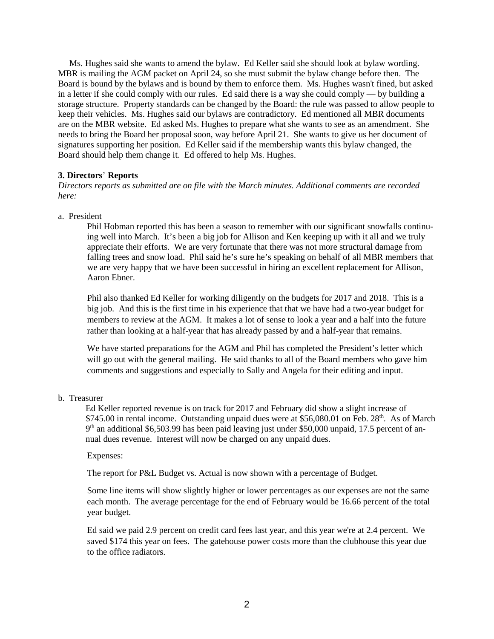Ms. Hughes said she wants to amend the bylaw. Ed Keller said she should look at bylaw wording. MBR is mailing the AGM packet on April 24, so she must submit the bylaw change before then. The Board is bound by the bylaws and is bound by them to enforce them. Ms. Hughes wasn't fined, but asked in a letter if she could comply with our rules. Ed said there is a way she could comply — by building a storage structure. Property standards can be changed by the Board: the rule was passed to allow people to keep their vehicles. Ms. Hughes said our bylaws are contradictory. Ed mentioned all MBR documents are on the MBR website. Ed asked Ms. Hughes to prepare what she wants to see as an amendment. She needs to bring the Board her proposal soon, way before April 21. She wants to give us her document of signatures supporting her position. Ed Keller said if the membership wants this bylaw changed, the Board should help them change it. Ed offered to help Ms. Hughes.

## **3. Directors**' **Reports**

*Directors reports as submitted are on file with the March minutes. Additional comments are recorded here:*

a. President

Phil Hobman reported this has been a season to remember with our significant snowfalls continuing well into March. It's been a big job for Allison and Ken keeping up with it all and we truly appreciate their efforts. We are very fortunate that there was not more structural damage from falling trees and snow load. Phil said he's sure he's speaking on behalf of all MBR members that we are very happy that we have been successful in hiring an excellent replacement for Allison, Aaron Ebner.

Phil also thanked Ed Keller for working diligently on the budgets for 2017 and 2018. This is a big job. And this is the first time in his experience that that we have had a two-year budget for members to review at the AGM. It makes a lot of sense to look a year and a half into the future rather than looking at a half-year that has already passed by and a half-year that remains.

We have started preparations for the AGM and Phil has completed the President's letter which will go out with the general mailing. He said thanks to all of the Board members who gave him comments and suggestions and especially to Sally and Angela for their editing and input.

b. Treasurer

Ed Keller reported revenue is on track for 2017 and February did show a slight increase of  $$745.00$  in rental income. Outstanding unpaid dues were at  $$56,080.01$  on Feb. 28<sup>th</sup>. As of March 9th an additional \$6,503.99 has been paid leaving just under \$50,000 unpaid, 17.5 percent of annual dues revenue. Interest will now be charged on any unpaid dues.

Expenses:

The report for P&L Budget vs. Actual is now shown with a percentage of Budget.

Some line items will show slightly higher or lower percentages as our expenses are not the same each month. The average percentage for the end of February would be 16.66 percent of the total year budget.

Ed said we paid 2.9 percent on credit card fees last year, and this year we're at 2.4 percent. We saved \$174 this year on fees. The gatehouse power costs more than the clubhouse this year due to the office radiators.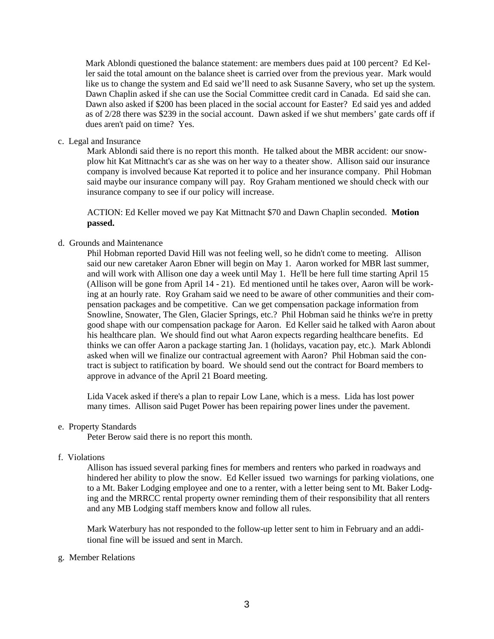Mark Ablondi questioned the balance statement: are members dues paid at 100 percent? Ed Keller said the total amount on the balance sheet is carried over from the previous year. Mark would like us to change the system and Ed said we'll need to ask Susanne Savery, who set up the system. Dawn Chaplin asked if she can use the Social Committee credit card in Canada. Ed said she can. Dawn also asked if \$200 has been placed in the social account for Easter? Ed said yes and added as of 2/28 there was \$239 in the social account. Dawn asked if we shut members' gate cards off if dues aren't paid on time? Yes.

c. Legal and Insurance

Mark Ablondi said there is no report this month. He talked about the MBR accident: our snowplow hit Kat Mittnacht's car as she was on her way to a theater show. Allison said our insurance company is involved because Kat reported it to police and her insurance company. Phil Hobman said maybe our insurance company will pay. Roy Graham mentioned we should check with our insurance company to see if our policy will increase.

ACTION: Ed Keller moved we pay Kat Mittnacht \$70 and Dawn Chaplin seconded. **Motion passed.**

d. Grounds and Maintenance

Phil Hobman reported David Hill was not feeling well, so he didn't come to meeting. Allison said our new caretaker Aaron Ebner will begin on May 1. Aaron worked for MBR last summer, and will work with Allison one day a week until May 1. He'll be here full time starting April 15 (Allison will be gone from April 14 - 21). Ed mentioned until he takes over, Aaron will be working at an hourly rate. Roy Graham said we need to be aware of other communities and their compensation packages and be competitive. Can we get compensation package information from Snowline, Snowater, The Glen, Glacier Springs, etc.? Phil Hobman said he thinks we're in pretty good shape with our compensation package for Aaron. Ed Keller said he talked with Aaron about his healthcare plan. We should find out what Aaron expects regarding healthcare benefits. Ed thinks we can offer Aaron a package starting Jan. 1 (holidays, vacation pay, etc.). Mark Ablondi asked when will we finalize our contractual agreement with Aaron? Phil Hobman said the contract is subject to ratification by board. We should send out the contract for Board members to approve in advance of the April 21 Board meeting.

Lida Vacek asked if there's a plan to repair Low Lane, which is a mess. Lida has lost power many times. Allison said Puget Power has been repairing power lines under the pavement.

## e. Property Standards

Peter Berow said there is no report this month.

## f. Violations

Allison has issued several parking fines for members and renters who parked in roadways and hindered her ability to plow the snow. Ed Keller issued two warnings for parking violations, one to a Mt. Baker Lodging employee and one to a renter, with a letter being sent to Mt. Baker Lodging and the MRRCC rental property owner reminding them of their responsibility that all renters and any MB Lodging staff members know and follow all rules.

Mark Waterbury has not responded to the follow-up letter sent to him in February and an additional fine will be issued and sent in March.

g. Member Relations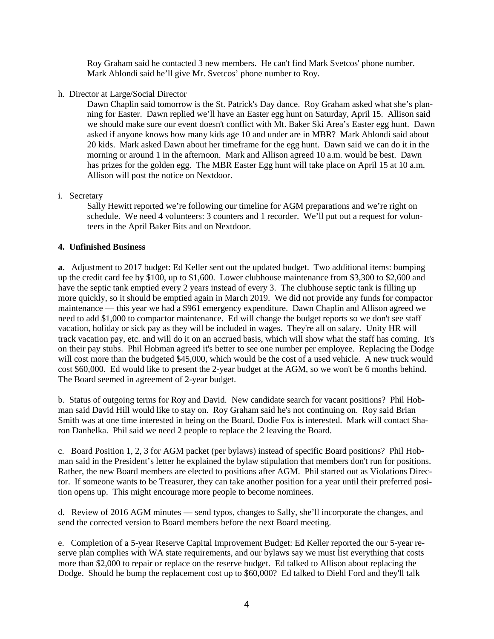Roy Graham said he contacted 3 new members. He can't find Mark Svetcos' phone number. Mark Ablondi said he'll give Mr. Svetcos' phone number to Roy.

h. Director at Large/Social Director

Dawn Chaplin said tomorrow is the St. Patrick's Day dance. Roy Graham asked what she's planning for Easter. Dawn replied we'll have an Easter egg hunt on Saturday, April 15. Allison said we should make sure our event doesn't conflict with Mt. Baker Ski Area's Easter egg hunt. Dawn asked if anyone knows how many kids age 10 and under are in MBR? Mark Ablondi said about 20 kids. Mark asked Dawn about her timeframe for the egg hunt. Dawn said we can do it in the morning or around 1 in the afternoon. Mark and Allison agreed 10 a.m. would be best. Dawn has prizes for the golden egg. The MBR Easter Egg hunt will take place on April 15 at 10 a.m. Allison will post the notice on Nextdoor.

i. Secretary

Sally Hewitt reported we're following our timeline for AGM preparations and we're right on schedule. We need 4 volunteers: 3 counters and 1 recorder. We'll put out a request for volunteers in the April Baker Bits and on Nextdoor.

# **4. Unfinished Business**

**a.** Adjustment to 2017 budget: Ed Keller sent out the updated budget. Two additional items: bumping up the credit card fee by \$100, up to \$1,600. Lower clubhouse maintenance from \$3,300 to \$2,600 and have the septic tank emptied every 2 years instead of every 3. The clubhouse septic tank is filling up more quickly, so it should be emptied again in March 2019. We did not provide any funds for compactor maintenance — this year we had a \$961 emergency expenditure. Dawn Chaplin and Allison agreed we need to add \$1,000 to compactor maintenance. Ed will change the budget reports so we don't see staff vacation, holiday or sick pay as they will be included in wages. They're all on salary. Unity HR will track vacation pay, etc. and will do it on an accrued basis, which will show what the staff has coming. It's on their pay stubs. Phil Hobman agreed it's better to see one number per employee. Replacing the Dodge will cost more than the budgeted \$45,000, which would be the cost of a used vehicle. A new truck would cost \$60,000. Ed would like to present the 2-year budget at the AGM, so we won't be 6 months behind. The Board seemed in agreement of 2-year budget.

b. Status of outgoing terms for Roy and David. New candidate search for vacant positions? Phil Hobman said David Hill would like to stay on. Roy Graham said he's not continuing on. Roy said Brian Smith was at one time interested in being on the Board, Dodie Fox is interested. Mark will contact Sharon Danhelka. Phil said we need 2 people to replace the 2 leaving the Board.

c. Board Position 1, 2, 3 for AGM packet (per bylaws) instead of specific Board positions? Phil Hobman said in the President's letter he explained the bylaw stipulation that members don't run for positions. Rather, the new Board members are elected to positions after AGM. Phil started out as Violations Director. If someone wants to be Treasurer, they can take another position for a year until their preferred position opens up. This might encourage more people to become nominees.

d. Review of 2016 AGM minutes — send typos, changes to Sally, she'll incorporate the changes, and send the corrected version to Board members before the next Board meeting.

e. Completion of a 5-year Reserve Capital Improvement Budget: Ed Keller reported the our 5-year reserve plan complies with WA state requirements, and our bylaws say we must list everything that costs more than \$2,000 to repair or replace on the reserve budget. Ed talked to Allison about replacing the Dodge. Should he bump the replacement cost up to \$60,000? Ed talked to Diehl Ford and they'll talk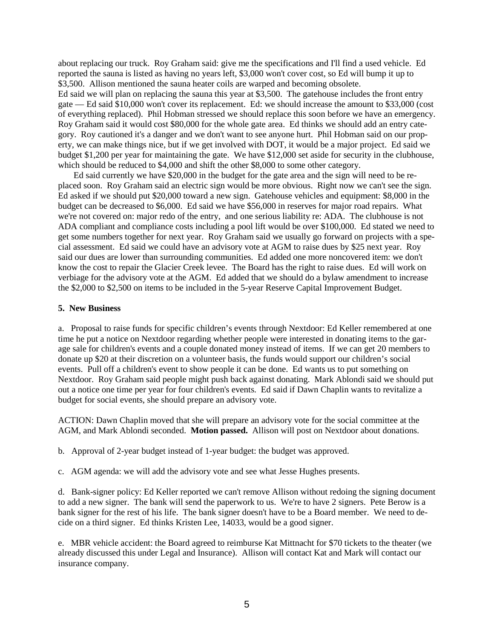about replacing our truck. Roy Graham said: give me the specifications and I'll find a used vehicle. Ed reported the sauna is listed as having no years left, \$3,000 won't cover cost, so Ed will bump it up to \$3,500. Allison mentioned the sauna heater coils are warped and becoming obsolete. Ed said we will plan on replacing the sauna this year at \$3,500. The gatehouse includes the front entry gate — Ed said \$10,000 won't cover its replacement. Ed: we should increase the amount to \$33,000 (cost of everything replaced). Phil Hobman stressed we should replace this soon before we have an emergency. Roy Graham said it would cost \$80,000 for the whole gate area. Ed thinks we should add an entry category. Roy cautioned it's a danger and we don't want to see anyone hurt. Phil Hobman said on our property, we can make things nice, but if we get involved with DOT, it would be a major project. Ed said we budget \$1,200 per year for maintaining the gate. We have \$12,000 set aside for security in the clubhouse, which should be reduced to \$4,000 and shift the other \$8,000 to some other category.

 Ed said currently we have \$20,000 in the budget for the gate area and the sign will need to be replaced soon. Roy Graham said an electric sign would be more obvious. Right now we can't see the sign. Ed asked if we should put \$20,000 toward a new sign. Gatehouse vehicles and equipment: \$8,000 in the budget can be decreased to \$6,000. Ed said we have \$56,000 in reserves for major road repairs. What we're not covered on: major redo of the entry, and one serious liability re: ADA. The clubhouse is not ADA compliant and compliance costs including a pool lift would be over \$100,000. Ed stated we need to get some numbers together for next year. Roy Graham said we usually go forward on projects with a special assessment. Ed said we could have an advisory vote at AGM to raise dues by \$25 next year. Roy said our dues are lower than surrounding communities. Ed added one more noncovered item: we don't know the cost to repair the Glacier Creek levee. The Board has the right to raise dues. Ed will work on verbiage for the advisory vote at the AGM. Ed added that we should do a bylaw amendment to increase the \$2,000 to \$2,500 on items to be included in the 5-year Reserve Capital Improvement Budget.

#### **5. New Business**

a. Proposal to raise funds for specific children's events through Nextdoor: Ed Keller remembered at one time he put a notice on Nextdoor regarding whether people were interested in donating items to the garage sale for children's events and a couple donated money instead of items. If we can get 20 members to donate up \$20 at their discretion on a volunteer basis, the funds would support our children's social events. Pull off a children's event to show people it can be done. Ed wants us to put something on Nextdoor. Roy Graham said people might push back against donating. Mark Ablondi said we should put out a notice one time per year for four children's events. Ed said if Dawn Chaplin wants to revitalize a budget for social events, she should prepare an advisory vote.

ACTION: Dawn Chaplin moved that she will prepare an advisory vote for the social committee at the AGM, and Mark Ablondi seconded. **Motion passed.** Allison will post on Nextdoor about donations.

b. Approval of 2-year budget instead of 1-year budget: the budget was approved.

c. AGM agenda: we will add the advisory vote and see what Jesse Hughes presents.

d. Bank-signer policy: Ed Keller reported we can't remove Allison without redoing the signing document to add a new signer. The bank will send the paperwork to us. We're to have 2 signers. Pete Berow is a bank signer for the rest of his life. The bank signer doesn't have to be a Board member. We need to decide on a third signer. Ed thinks Kristen Lee, 14033, would be a good signer.

e. MBR vehicle accident: the Board agreed to reimburse Kat Mittnacht for \$70 tickets to the theater (we already discussed this under Legal and Insurance). Allison will contact Kat and Mark will contact our insurance company.